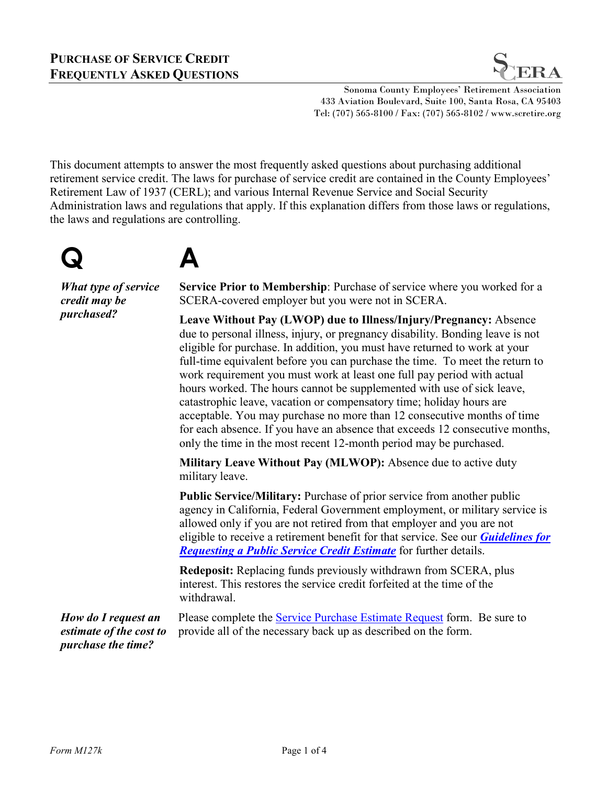

Sonoma County Employees' Retirement Association 433 Aviation Boulevard, Suite 100, Santa Rosa, CA 95403 Tel: (707) 565-8100 / Fax: (707) 565-8102 / www.scretire.org

This document attempts to answer the most frequently asked questions about purchasing additional retirement service credit. The laws for purchase of service credit are contained in the County Employees' Retirement Law of 1937 (CERL); and various Internal Revenue Service and Social Security Administration laws and regulations that apply. If this explanation differs from those laws or regulations, the laws and regulations are controlling.

## **Q A**

*What type of service credit may be* 

*What type of service* Service Prior to Membership: Purchase of service where you worked for a<br> *credit may be* SCERA-covered employer but you were not in SCERA.<br> *purchased?* I save Without Pay (J WOP) due to Ulness (In SCERA-covered employer but you were not in SCERA.

**Leave Without Pay (LWOP) due to Illness/Injury/Pregnancy:** Absence due to personal illness, injury, or pregnancy disability. Bonding leave is not eligible for purchase. In addition, you must have returned to work at your full-time equivalent before you can purchase the time. To meet the return to work requirement you must work at least one full pay period with actual hours worked. The hours cannot be supplemented with use of sick leave, catastrophic leave, vacation or compensatory time; holiday hours are acceptable. You may purchase no more than 12 consecutive months of time for each absence. If you have an absence that exceeds 12 consecutive months, only the time in the most recent 12-month period may be purchased.

**Military Leave Without Pay (MLWOP):** Absence due to active duty military leave.

**Public Service/Military:** Purchase of prior service from another public agency in California, Federal Government employment, or military service is allowed only if you are not retired from that employer and you are not eligible to receive a retirement benefit for that service. See our *[Guidelines for](http://scretire.org/Resource-Center/)  [Requesting a Public Service Credit Estimate](http://scretire.org/Resource-Center/)* for further details.

**Redeposit:** Replacing funds previously withdrawn from SCERA, plus interest. This restores the service credit forfeited at the time of the withdrawal.

*How do I request an estimate of the cost to purchase the time?* Please complete the [Service Purchase Estimate Request](http://scretire.org/Resource-Center/) form. Be sure to provide all of the necessary back up as described on the form.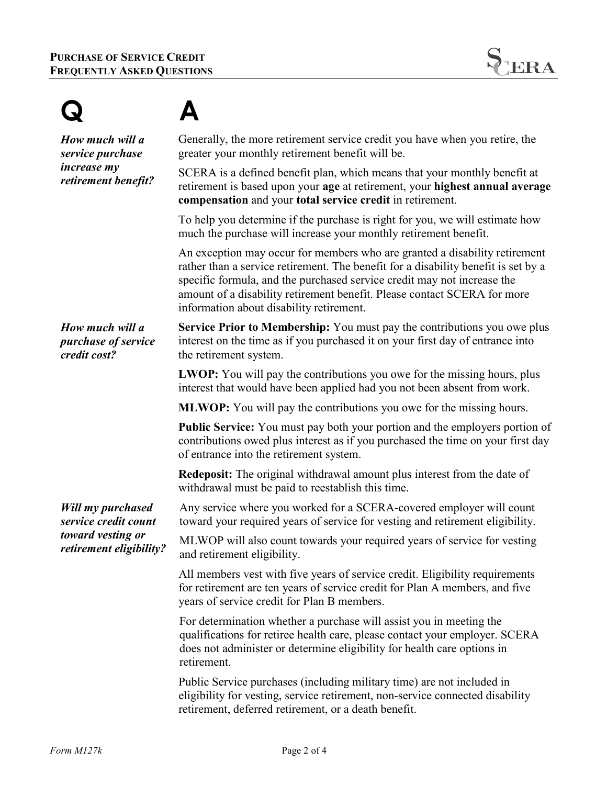| How much will a<br>service purchase<br><i>increase</i> my<br>retirement benefit?          | Generally, the more retirement service credit you have when you retire, the<br>greater your monthly retirement benefit will be.                                                                                                                                                                                                                                     |
|-------------------------------------------------------------------------------------------|---------------------------------------------------------------------------------------------------------------------------------------------------------------------------------------------------------------------------------------------------------------------------------------------------------------------------------------------------------------------|
|                                                                                           | SCERA is a defined benefit plan, which means that your monthly benefit at<br>retirement is based upon your age at retirement, your highest annual average<br>compensation and your total service credit in retirement.                                                                                                                                              |
|                                                                                           | To help you determine if the purchase is right for you, we will estimate how<br>much the purchase will increase your monthly retirement benefit.                                                                                                                                                                                                                    |
|                                                                                           | An exception may occur for members who are granted a disability retirement<br>rather than a service retirement. The benefit for a disability benefit is set by a<br>specific formula, and the purchased service credit may not increase the<br>amount of a disability retirement benefit. Please contact SCERA for more<br>information about disability retirement. |
| How much will a<br>purchase of service<br>credit cost?                                    | <b>Service Prior to Membership:</b> You must pay the contributions you owe plus<br>interest on the time as if you purchased it on your first day of entrance into<br>the retirement system.                                                                                                                                                                         |
|                                                                                           | <b>LWOP:</b> You will pay the contributions you owe for the missing hours, plus<br>interest that would have been applied had you not been absent from work.                                                                                                                                                                                                         |
|                                                                                           | <b>MLWOP:</b> You will pay the contributions you owe for the missing hours.                                                                                                                                                                                                                                                                                         |
|                                                                                           | <b>Public Service:</b> You must pay both your portion and the employers portion of<br>contributions owed plus interest as if you purchased the time on your first day<br>of entrance into the retirement system.                                                                                                                                                    |
|                                                                                           | <b>Redeposit:</b> The original withdrawal amount plus interest from the date of<br>withdrawal must be paid to reestablish this time.                                                                                                                                                                                                                                |
| Will my purchased<br>service credit count<br>toward vesting or<br>retirement eligibility? | Any service where you worked for a SCERA-covered employer will count<br>toward your required years of service for vesting and retirement eligibility.                                                                                                                                                                                                               |
|                                                                                           | MLWOP will also count towards your required years of service for vesting<br>and retirement eligibility.                                                                                                                                                                                                                                                             |
|                                                                                           | All members vest with five years of service credit. Eligibility requirements<br>for retirement are ten years of service credit for Plan A members, and five<br>years of service credit for Plan B members.                                                                                                                                                          |
|                                                                                           | For determination whether a purchase will assist you in meeting the<br>qualifications for retiree health care, please contact your employer. SCERA<br>does not administer or determine eligibility for health care options in<br>retirement.                                                                                                                        |
|                                                                                           | Public Service purchases (including military time) are not included in<br>eligibility for vesting, service retirement, non-service connected disability<br>retirement, deferred retirement, or a death benefit.                                                                                                                                                     |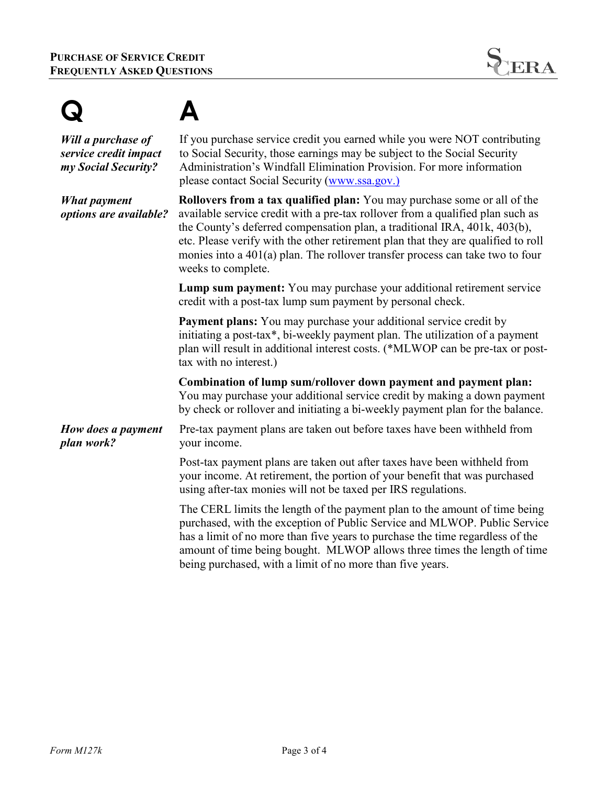

| Will a purchase of<br>service credit impact<br>my Social Security? | If you purchase service credit you earned while you were NOT contributing<br>to Social Security, those earnings may be subject to the Social Security<br>Administration's Windfall Elimination Provision. For more information<br>please contact Social Security (www.ssa.gov.)                                                                                                                                                              |
|--------------------------------------------------------------------|----------------------------------------------------------------------------------------------------------------------------------------------------------------------------------------------------------------------------------------------------------------------------------------------------------------------------------------------------------------------------------------------------------------------------------------------|
| <b>What payment</b><br>options are available?                      | <b>Rollovers from a tax qualified plan:</b> You may purchase some or all of the<br>available service credit with a pre-tax rollover from a qualified plan such as<br>the County's deferred compensation plan, a traditional IRA, 401k, 403(b),<br>etc. Please verify with the other retirement plan that they are qualified to roll<br>monies into a $401(a)$ plan. The rollover transfer process can take two to four<br>weeks to complete. |
|                                                                    | Lump sum payment: You may purchase your additional retirement service<br>credit with a post-tax lump sum payment by personal check.                                                                                                                                                                                                                                                                                                          |
|                                                                    | <b>Payment plans:</b> You may purchase your additional service credit by<br>initiating a post-tax*, bi-weekly payment plan. The utilization of a payment<br>plan will result in additional interest costs. (*MLWOP can be pre-tax or post-<br>tax with no interest.)                                                                                                                                                                         |
|                                                                    | Combination of lump sum/rollover down payment and payment plan:<br>You may purchase your additional service credit by making a down payment<br>by check or rollover and initiating a bi-weekly payment plan for the balance.                                                                                                                                                                                                                 |
| How does a payment<br>plan work?                                   | Pre-tax payment plans are taken out before taxes have been withheld from<br>your income.                                                                                                                                                                                                                                                                                                                                                     |
|                                                                    | Post-tax payment plans are taken out after taxes have been withheld from<br>your income. At retirement, the portion of your benefit that was purchased<br>using after-tax monies will not be taxed per IRS regulations.                                                                                                                                                                                                                      |
|                                                                    | The CERL limits the length of the payment plan to the amount of time being<br>purchased, with the exception of Public Service and MLWOP. Public Service<br>has a limit of no more than five years to purchase the time regardless of the<br>amount of time being bought. MLWOP allows three times the length of time<br>being purchased, with a limit of no more than five years.                                                            |